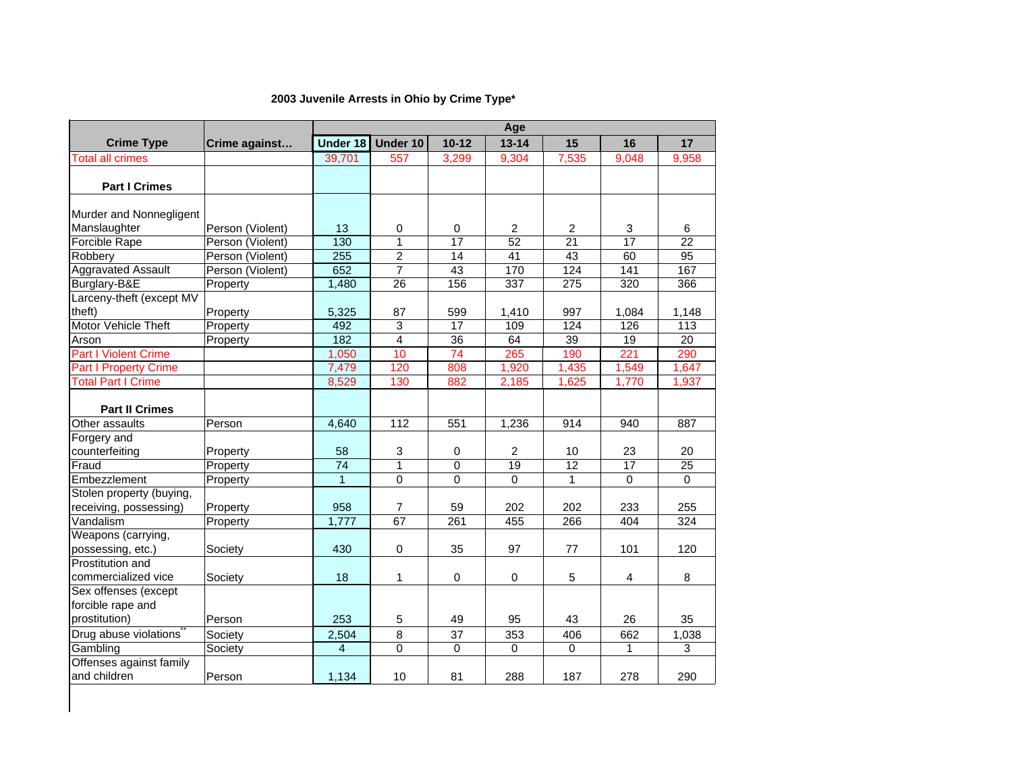## **2003 Juvenile Arrests in Ohio by Crime Type\***

|                              |                  | Age             |                |                 |                 |              |                         |       |  |
|------------------------------|------------------|-----------------|----------------|-----------------|-----------------|--------------|-------------------------|-------|--|
| <b>Crime Type</b>            | Crime against    | <b>Under 18</b> | Under 10       | $10 - 12$       | $13 - 14$       | 15           | 16                      | 17    |  |
| <b>Total all crimes</b>      |                  | 39,701          | 557            | 3,299           | 9,304           | 7,535        | 9,048                   | 9,958 |  |
|                              |                  |                 |                |                 |                 |              |                         |       |  |
| <b>Part I Crimes</b>         |                  |                 |                |                 |                 |              |                         |       |  |
|                              |                  |                 |                |                 |                 |              |                         |       |  |
| Murder and Nonnegligent      |                  |                 |                |                 |                 |              |                         |       |  |
| Manslaughter                 | Person (Violent) | 13              | 0              | 0               | 2               | 2            | 3                       | 6     |  |
| <b>Forcible Rape</b>         | Person (Violent) | 130             | $\mathbf{1}$   | $\overline{17}$ | $\overline{52}$ | 21           | 17                      | 22    |  |
| Robbery                      | Person (Violent) | 255             | $\overline{c}$ | $\overline{14}$ | $\overline{41}$ | 43           | 60                      | 95    |  |
| <b>Aggravated Assault</b>    | Person (Violent) | 652             | $\overline{7}$ | 43              | 170             | 124          | $\overline{141}$        | 167   |  |
| Burglary-B&E                 | Property         | 1,480           | 26             | 156             | 337             | 275          | 320                     | 366   |  |
| Larceny-theft (except MV     |                  |                 |                |                 |                 |              |                         |       |  |
| theft)                       | Property         | 5,325           | 87             | 599             | 1,410           | 997          | 1,084                   | 1,148 |  |
| Motor Vehicle Theft          | Property         | 492             | 3              | 17              | 109             | 124          | 126                     | 113   |  |
| Arson                        | Property         | 182             | $\overline{4}$ | 36              | 64              | 39           | 19                      | 20    |  |
| <b>Part I Violent Crime</b>  |                  | 1,050           | 10             | 74              | 265             | 190          | 221                     | 290   |  |
| <b>Part I Property Crime</b> |                  | 7,479           | 120            | 808             | 1,920           | 1,435        | 1,549                   | 1,647 |  |
| <b>Total Part I Crime</b>    |                  | 8,529           | 130            | 882             | 2,185           | 1,625        | 1,770                   | 1,937 |  |
|                              |                  |                 |                |                 |                 |              |                         |       |  |
| <b>Part II Crimes</b>        |                  |                 |                |                 |                 |              |                         |       |  |
| Other assaults               | Person           | 4,640           | 112            | 551             | 1,236           | 914          | 940                     | 887   |  |
| Forgery and                  |                  |                 |                |                 |                 |              |                         |       |  |
| counterfeiting               | Property         | 58              | 3              | 0               | 2               | 10           | 23                      | 20    |  |
| Fraud                        | Property         | $\overline{74}$ | $\mathbf{1}$   | 0               | 19              | 12           | 17                      | 25    |  |
| Embezzlement                 | Property         | $\overline{1}$  | $\overline{0}$ | $\overline{0}$  | 0               | $\mathbf{1}$ | $\mathbf{0}$            | 0     |  |
| Stolen property (buying,     |                  |                 |                |                 |                 |              |                         |       |  |
| receiving, possessing)       | Property         | 958             | $\overline{7}$ | 59              | 202             | 202          | 233                     | 255   |  |
| Vandalism                    | Property         | 1,777           | 67             | 261             | 455             | 266          | 404                     | 324   |  |
| Weapons (carrying,           |                  |                 |                |                 |                 |              |                         |       |  |
| possessing, etc.)            | Society          | 430             | $\mathbf 0$    | 35              | 97              | 77           | 101                     | 120   |  |
| Prostitution and             |                  |                 |                |                 |                 |              |                         |       |  |
| commercialized vice          | Society          | 18              | $\mathbf{1}$   | $\mathbf 0$     | $\mathbf 0$     | 5            | $\overline{\mathbf{4}}$ | 8     |  |
| Sex offenses (except         |                  |                 |                |                 |                 |              |                         |       |  |
| forcible rape and            |                  |                 |                |                 |                 |              |                         |       |  |
| prostitution)                | Person           | 253             | 5              | 49              | 95              | 43           | 26                      | 35    |  |
| Drug abuse violations        | Society          | 2,504           | 8              | 37              | 353             | 406          | 662                     | 1,038 |  |
| Gambling                     | Society          | $\overline{4}$  | $\overline{0}$ | 0               | $\mathbf 0$     | $\pmb{0}$    | $\mathbf{1}$            | 3     |  |
| Offenses against family      |                  |                 |                |                 |                 |              |                         |       |  |
| and children                 | Person           | 1,134           | 10             | 81              | 288             | 187          | 278                     | 290   |  |